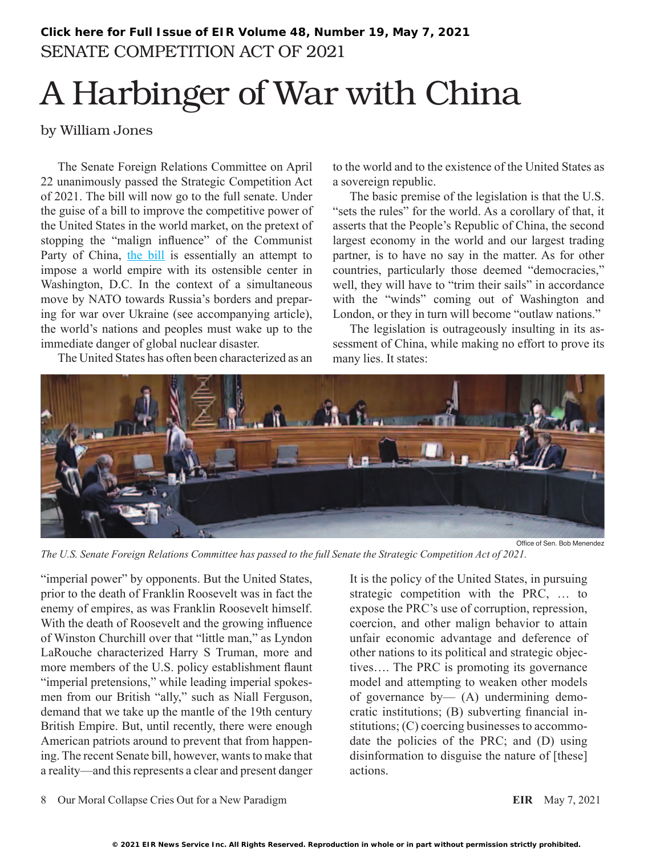# A Harbinger of War with China

### by William Jones

The Senate Foreign Relations Committee on April 22 unanimously passed the Strategic Competition Act of 2021. The bill will now go to the full senate. Under the guise of a bill to improve the competitive power of the United States in the world market, on the pretext of stopping the "malign influence" of the Communist Party of China, [the bill](https://www.congress.gov/bill/117th-congress/senate-bill/1169/text) is essentially an attempt to impose a world empire with its ostensible center in Washington, D.C. In the context of a simultaneous move by NATO towards Russia's borders and preparing for war over Ukraine (see accompanying article), the world's nations and peoples must wake up to the immediate danger of global nuclear disaster.

The United States has often been characterized as an

to the world and to the existence of the United States as a sovereign republic.

The basic premise of the legislation is that the U.S. "sets the rules" for the world. As a corollary of that, it asserts that the People's Republic of China, the second largest economy in the world and our largest trading partner, is to have no say in the matter. As for other countries, particularly those deemed "democracies," well, they will have to "trim their sails" in accordance with the "winds" coming out of Washington and London, or they in turn will become "outlaw nations."

The legislation is outrageously insulting in its assessment of China, while making no effort to prove its many lies. It states:



*The U.S. Senate Foreign Relations Committee has passed to the full Senate the Strategic Competition Act of 2021.*

"imperial power" by opponents. But the United States, prior to the death of Franklin Roosevelt was in fact the enemy of empires, as was Franklin Roosevelt himself. With the death of Roosevelt and the growing influence of Winston Churchill over that "little man," as Lyndon LaRouche characterized Harry S Truman, more and more members of the U.S. policy establishment flaunt "imperial pretensions," while leading imperial spokesmen from our British "ally," such as Niall Ferguson, demand that we take up the mantle of the 19th century British Empire. But, until recently, there were enough American patriots around to prevent that from happening. The recent Senate bill, however, wants to make that a reality—and this represents a clear and present danger

It is the policy of the United States, in pursuing strategic competition with the PRC, … to expose the PRC's use of corruption, repression, coercion, and other malign behavior to attain unfair economic advantage and deference of other nations to its political and strategic objectives…. The PRC is promoting its governance model and attempting to weaken other models of governance by— (A) undermining democratic institutions; (B) subverting financial institutions; (C) coercing businesses to accommodate the policies of the PRC; and (D) using disinformation to disguise the nature of [these] actions.

### 8 Our Moral Collapse Cries Out for a New Paradigm **EIR** May 7, 2021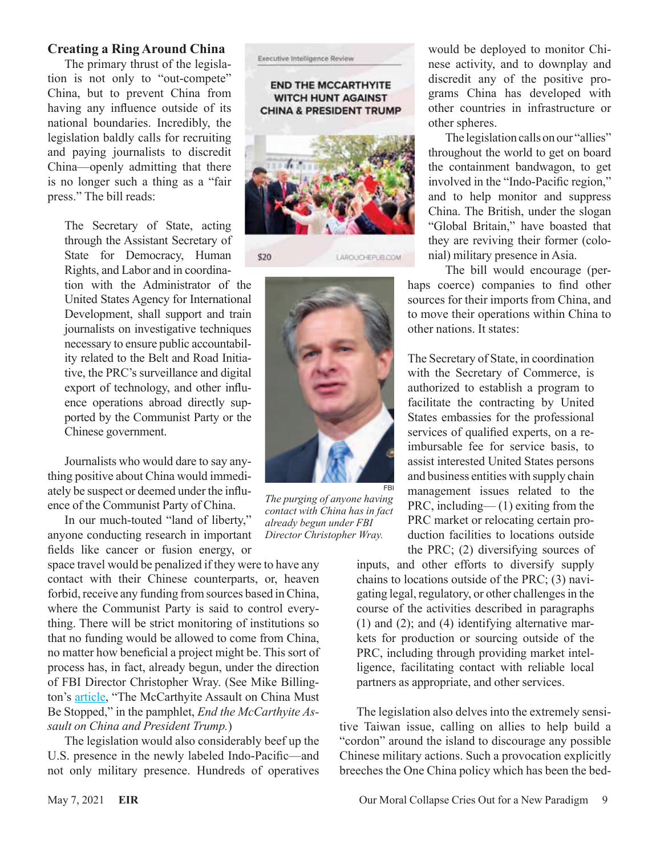## **Creating a Ring Around China**

The primary thrust of the legislation is not only to "out-compete" China, but to prevent China from having any influence outside of its national boundaries. Incredibly, the legislation baldly calls for recruiting and paying journalists to discredit China—openly admitting that there is no longer such a thing as a "fair press." The bill reads:

The Secretary of State, acting through the Assistant Secretary of State for Democracy, Human Rights, and Labor and in coordination with the Administrator of the United States Agency for International Development, shall support and train journalists on investigative techniques necessary to ensure public accountability related to the Belt and Road Initiative, the PRC's surveillance and digital export of technology, and other influence operations abroad directly supported by the Communist Party or the Chinese government.

Journalists who would dare to say anything positive about China would immediately be suspect or deemed under the influence of the Communist Party of China.

In our much-touted "land of liberty," anyone conducting research in important fields like cancer or fusion energy, or

space travel would be penalized if they were to have any contact with their Chinese counterparts, or, heaven forbid, receive any funding from sources based in China, where the Communist Party is said to control everything. There will be strict monitoring of institutions so that no funding would be allowed to come from China, no matter how beneficial a project might be. This sort of process has, in fact, already begun, under the direction of FBI Director Christopher Wray. (See Mike Billington's [article](https://larouchepub.com/special_report/2019/1123-EndChinaWitchhunt/10-13-mccarthyite_assault_on_china.pdf), "The McCarthyite Assault on China Must Be Stopped," in the pamphlet, *End the McCarthyite Assault on China and President Trump.*)

The legislation would also considerably beef up the U.S. presence in the newly labeled Indo-Pacific—and not only military presence. Hundreds of operatives



Executive Intelligence Review



LAROUCHEPUB.COM

\$20



*The purging of anyone having contact with China has in fact already begun under FBI Director Christopher Wray.*

would be deployed to monitor Chinese activity, and to downplay and discredit any of the positive programs China has developed with other countries in infrastructure or other spheres.

The legislation calls on our "allies" throughout the world to get on board the containment bandwagon, to get involved in the "Indo-Pacific region," and to help monitor and suppress China. The British, under the slogan "Global Britain," have boasted that they are reviving their former (colonial) military presence in Asia.

The bill would encourage (perhaps coerce) companies to find other sources for their imports from China, and to move their operations within China to other nations. It states:

The Secretary of State, in coordination with the Secretary of Commerce, is authorized to establish a program to facilitate the contracting by United States embassies for the professional services of qualified experts, on a reimbursable fee for service basis, to assist interested United States persons and business entities with supply chain management issues related to the PRC, including— (1) exiting from the PRC market or relocating certain production facilities to locations outside the PRC; (2) diversifying sources of

inputs, and other efforts to diversify supply chains to locations outside of the PRC; (3) navigating legal, regulatory, or other challenges in the course of the activities described in paragraphs (1) and (2); and (4) identifying alternative markets for production or sourcing outside of the PRC, including through providing market intelligence, facilitating contact with reliable local partners as appropriate, and other services.

The legislation also delves into the extremely sensitive Taiwan issue, calling on allies to help build a "cordon" around the island to discourage any possible Chinese military actions. Such a provocation explicitly breeches the One China policy which has been the bed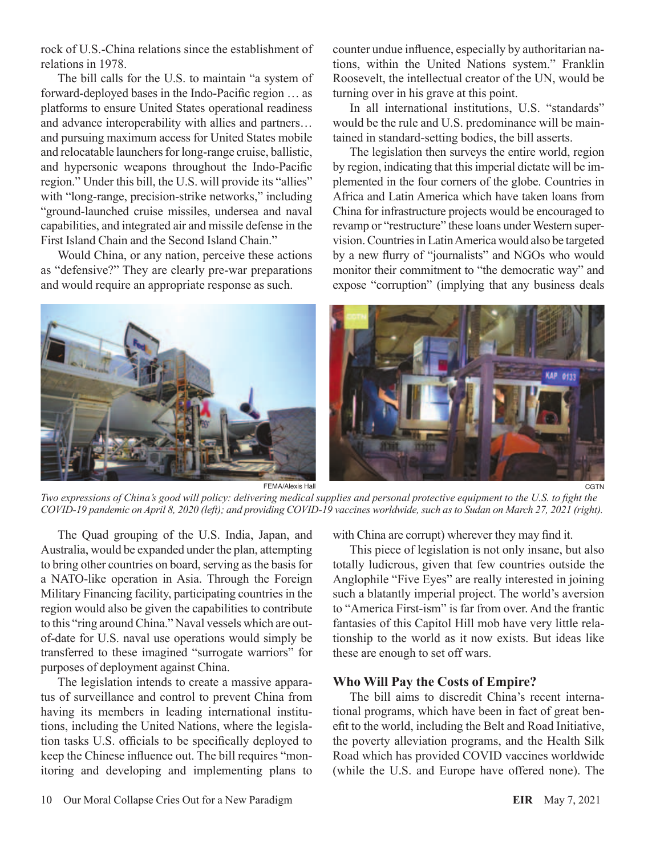rock of U.S.-China relations since the establishment of relations in 1978.

The bill calls for the U.S. to maintain "a system of forward-deployed bases in the Indo-Pacific region … as platforms to ensure United States operational readiness and advance interoperability with allies and partners… and pursuing maximum access for United States mobile and relocatable launchers for long-range cruise, ballistic, and hypersonic weapons throughout the Indo-Pacific region." Under this bill, the U.S. will provide its "allies" with "long-range, precision-strike networks," including "ground-launched cruise missiles, undersea and naval capabilities, and integrated air and missile defense in the First Island Chain and the Second Island Chain."

Would China, or any nation, perceive these actions as "defensive?" They are clearly pre-war preparations and would require an appropriate response as such.

counter undue influence, especially by authoritarian nations, within the United Nations system." Franklin Roosevelt, the intellectual creator of the UN, would be turning over in his grave at this point.

In all international institutions, U.S. "standards" would be the rule and U.S. predominance will be maintained in standard-setting bodies, the bill asserts.

The legislation then surveys the entire world, region by region, indicating that this imperial dictate will be implemented in the four corners of the globe. Countries in Africa and Latin America which have taken loans from China for infrastructure projects would be encouraged to revamp or "restructure" these loans under Western supervision. Countries in Latin America would also be targeted by a new flurry of "journalists" and NGOs who would monitor their commitment to "the democratic way" and expose "corruption" (implying that any business deals



FEMA/Alexis Hall

*Two expressions of China's good will policy: delivering medical supplies and personal protective equipment to the U.S. to fight the COVID-19 pandemic on April 8, 2020 (left); and providing COVID-19 vaccines worldwide, such as to Sudan on March 27, 2021 (right).*

The Quad grouping of the U.S. India, Japan, and Australia, would be expanded under the plan, attempting to bring other countries on board, serving as the basis for a NATO-like operation in Asia. Through the Foreign Military Financing facility, participating countries in the region would also be given the capabilities to contribute to this "ring around China." Naval vessels which are outof-date for U.S. naval use operations would simply be transferred to these imagined "surrogate warriors" for purposes of deployment against China.

The legislation intends to create a massive apparatus of surveillance and control to prevent China from having its members in leading international institutions, including the United Nations, where the legislation tasks U.S. officials to be specifically deployed to keep the Chinese influence out. The bill requires "monitoring and developing and implementing plans to with China are corrupt) wherever they may find it.

This piece of legislation is not only insane, but also totally ludicrous, given that few countries outside the Anglophile "Five Eyes" are really interested in joining such a blatantly imperial project. The world's aversion to "America First-ism" is far from over. And the frantic fantasies of this Capitol Hill mob have very little relationship to the world as it now exists. But ideas like these are enough to set off wars.

### **Who Will Pay the Costs of Empire?**

The bill aims to discredit China's recent international programs, which have been in fact of great benefit to the world, including the Belt and Road Initiative, the poverty alleviation programs, and the Health Silk Road which has provided COVID vaccines worldwide (while the U.S. and Europe have offered none). The